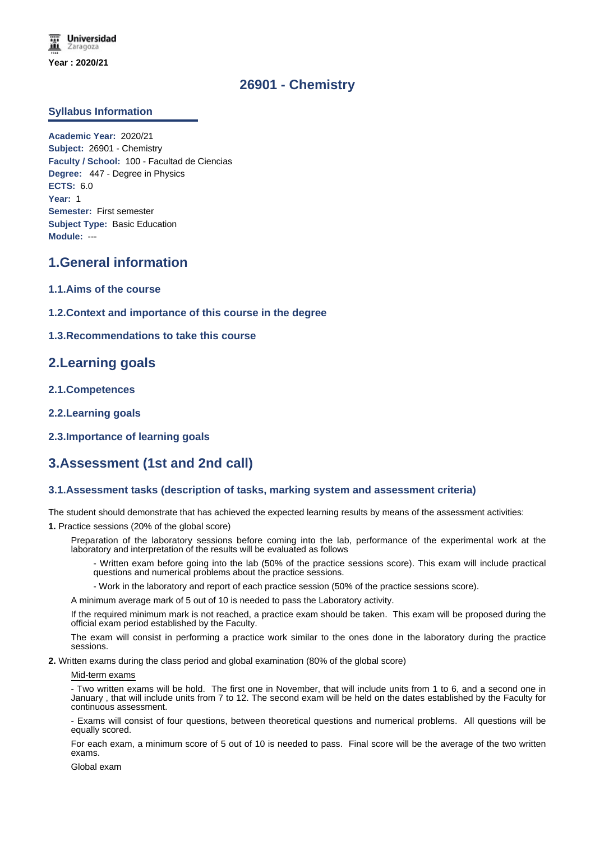# **26901 - Chemistry**

### **Syllabus Information**

**Academic Year:** 2020/21 **Subject:** 26901 - Chemistry **Faculty / School:** 100 - Facultad de Ciencias **Degree:** 447 - Degree in Physics **ECTS:** 6.0 **Year:** 1 **Semester:** First semester **Subject Type:** Basic Education **Module:** ---

## **1.General information**

- **1.1.Aims of the course**
- **1.2.Context and importance of this course in the degree**
- **1.3.Recommendations to take this course**

## **2.Learning goals**

- **2.1.Competences**
- **2.2.Learning goals**
- **2.3.Importance of learning goals**

# **3.Assessment (1st and 2nd call)**

### **3.1.Assessment tasks (description of tasks, marking system and assessment criteria)**

The student should demonstrate that has achieved the expected learning results by means of the assessment activities:

**1.** Practice sessions (20% of the global score)

Preparation of the laboratory sessions before coming into the lab, performance of the experimental work at the laboratory and interpretation of the results will be evaluated as follows

- Written exam before going into the lab (50% of the practice sessions score). This exam will include practical questions and numerical problems about the practice sessions.

- Work in the laboratory and report of each practice session (50% of the practice sessions score).

A minimum average mark of 5 out of 10 is needed to pass the Laboratory activity.

If the required minimum mark is not reached, a practice exam should be taken. This exam will be proposed during the official exam period established by the Faculty.

The exam will consist in performing a practice work similar to the ones done in the laboratory during the practice sessions.

**2.** Written exams during the class period and global examination (80% of the global score)

#### Mid-term exams

Two written exams will be hold. The first one in November, that will include units from 1 to 6, and a second one in January , that will include units from 7 to 12. The second exam will be held on the dates established by the Faculty for continuous assessment.

- Exams will consist of four questions, between theoretical questions and numerical problems. All questions will be equally scored.

For each exam, a minimum score of 5 out of 10 is needed to pass. Final score will be the average of the two written exams.

Global exam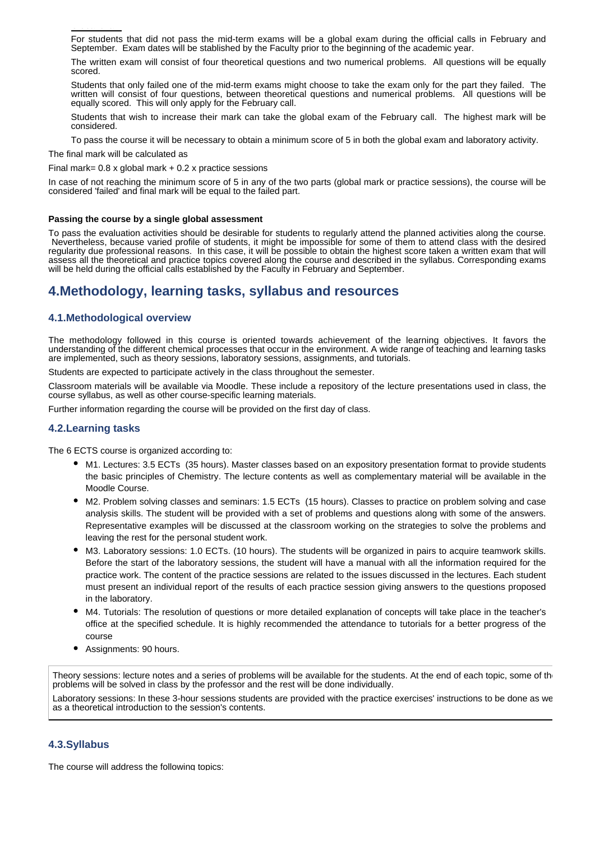For students that did not pass the mid-term exams will be a global exam during the official calls in February and September. Exam dates will be stablished by the Faculty prior to the beginning of the academic year.

The written exam will consist of four theoretical questions and two numerical problems. All questions will be equally scored.

Students that only failed one of the mid-term exams might choose to take the exam only for the part they failed. The written will consist of four questions, between theoretical questions and numerical problems. All questions will be equally scored. This will only apply for the February call.

Students that wish to increase their mark can take the global exam of the February call. The highest mark will be considered.

To pass the course it will be necessary to obtain a minimum score of 5 in both the global exam and laboratory activity.

The final mark will be calculated as

Global exam

Final mark=  $0.8 \times$  global mark +  $0.2 \times$  practice sessions

In case of not reaching the minimum score of 5 in any of the two parts (global mark or practice sessions), the course will be considered 'failed' and final mark will be equal to the failed part.

#### **Passing the course by a single global assessment**

To pass the evaluation activities should be desirable for students to regularly attend the planned activities along the course. Nevertheless, because varied profile of students, it might be impossible for some of them to attend class with the desired regularity due professional reasons. In this case, it will be possible to obtain the highest score taken a written exam that will assess all the theoretical and practice topics covered along the course and described in the syllabus. Corresponding exams will be held during the official calls established by the Faculty in February and September.

## **4.Methodology, learning tasks, syllabus and resources**

### **4.1.Methodological overview**

The methodology followed in this course is oriented towards achievement of the learning objectives. It favors the understanding of the different chemical processes that occur in the environment. A wide range of teaching and learning tasks are implemented, such as theory sessions, laboratory sessions, assignments, and tutorials.

Students are expected to participate actively in the class throughout the semester.

Classroom materials will be available via Moodle. These include a repository of the lecture presentations used in class, the course syllabus, as well as other course-specific learning materials.

Further information regarding the course will be provided on the first day of class.

### **4.2.Learning tasks**

The 6 ECTS course is organized according to:

- M1. Lectures: 3.5 ECTs (35 hours). Master classes based on an expository presentation format to provide students the basic principles of Chemistry. The lecture contents as well as complementary material will be available in the Moodle Course.
- M2. Problem solving classes and seminars: 1.5 ECTs (15 hours). Classes to practice on problem solving and case analysis skills. The student will be provided with a set of problems and questions along with some of the answers. Representative examples will be discussed at the classroom working on the strategies to solve the problems and leaving the rest for the personal student work.
- M3. Laboratory sessions: 1.0 ECTs. (10 hours). The students will be organized in pairs to acquire teamwork skills. Before the start of the laboratory sessions, the student will have a manual with all the information required for the practice work. The content of the practice sessions are related to the issues discussed in the lectures. Each student must present an individual report of the results of each practice session giving answers to the questions proposed in the laboratory.
- M4. Tutorials: The resolution of questions or more detailed explanation of concepts will take place in the teacher's office at the specified schedule. It is highly recommended the attendance to tutorials for a better progress of the course
- Assignments: 90 hours.

Theory sessions: lecture notes and a series of problems will be available for the students. At the end of each topic, some of the problems will be solved in class by the professor and the rest will be done individually.

Laboratory sessions: In these 3-hour sessions students are provided with the practice exercises' instructions to be done as we as a theoretical introduction to the session's contents.

### **4.3.Syllabus**

The course will address the following topics: